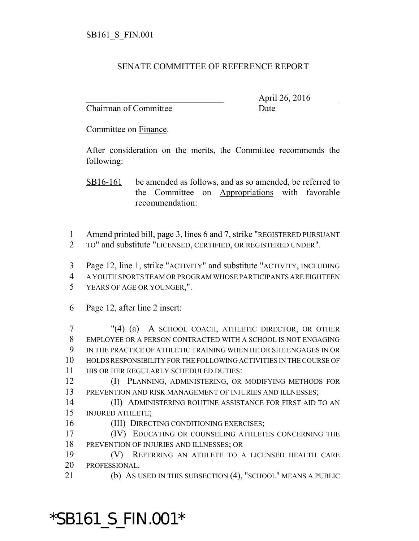## SENATE COMMITTEE OF REFERENCE REPORT

Chairman of Committee Date

\_\_\_\_\_\_\_\_\_\_\_\_\_\_\_\_\_\_\_\_\_\_\_\_\_\_\_\_\_\_\_ April 26, 2016

Committee on Finance.

After consideration on the merits, the Committee recommends the following:

SB16-161 be amended as follows, and as so amended, be referred to the Committee on Appropriations with favorable recommendation:

 Amend printed bill, page 3, lines 6 and 7, strike "REGISTERED PURSUANT TO" and substitute "LICENSED, CERTIFIED, OR REGISTERED UNDER".

 Page 12, line 1, strike "ACTIVITY" and substitute "ACTIVITY, INCLUDING A YOUTH SPORTS TEAM OR PROGRAM WHOSE PARTICIPANTS ARE EIGHTEEN YEARS OF AGE OR YOUNGER,".

Page 12, after line 2 insert:

 "(4) (a) A SCHOOL COACH, ATHLETIC DIRECTOR, OR OTHER EMPLOYEE OR A PERSON CONTRACTED WITH A SCHOOL IS NOT ENGAGING IN THE PRACTICE OF ATHLETIC TRAINING WHEN HE OR SHE ENGAGES IN OR HOLDS RESPONSIBILITY FOR THE FOLLOWING ACTIVITIES IN THE COURSE OF HIS OR HER REGULARLY SCHEDULED DUTIES:

 (I) PLANNING, ADMINISTERING, OR MODIFYING METHODS FOR PREVENTION AND RISK MANAGEMENT OF INJURIES AND ILLNESSES;

 (II) ADMINISTERING ROUTINE ASSISTANCE FOR FIRST AID TO AN INJURED ATHLETE;

16 (III) DIRECTING CONDITIONING EXERCISES;

 (IV) EDUCATING OR COUNSELING ATHLETES CONCERNING THE PREVENTION OF INJURIES AND ILLNESSES; OR

 (V) REFERRING AN ATHLETE TO A LICENSED HEALTH CARE PROFESSIONAL.

(b) AS USED IN THIS SUBSECTION (4), "SCHOOL" MEANS A PUBLIC

## \*SB161\_S\_FIN.001\*